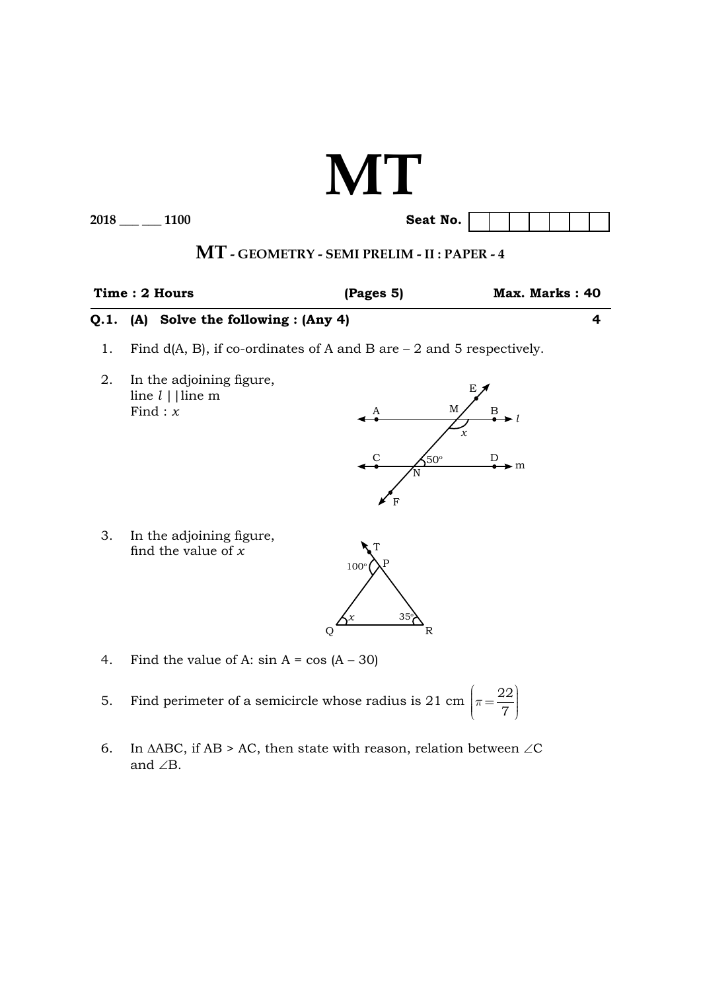# **MT**

**2018** \_\_\_\_\_ 1100

| Seat No. |  |  |  |  |
|----------|--|--|--|--|

## **MT - Geometry - SEMI PRELIM - II : PAPER - 4**

|                                            | Time : 2 Hours | (Pages 5) | Max. Marks: 40 |
|--------------------------------------------|----------------|-----------|----------------|
| $Q.1.$ (A) Solve the following : $(Any 4)$ |                |           |                |

- 1. Find d(A, B), if co-ordinates of A and B are 2 and 5 respectively.
- 2. In the adjoining figure, line *l* ||line m Find :  $\overline{x}$



 3. In the adjoining figure, find the value of *x*



- 4. Find the value of A:  $\sin A = \cos (A 30)$
- 5. Find perimeter of a semicircle whose radius is 21 cm  $\vert \pi \vert$  $\left(\pi = \frac{22}{7}\right)$ 7
	- 6. In  $\triangle ABC$ , if AB > AC, then state with reason, relation between ∠C and ∠B.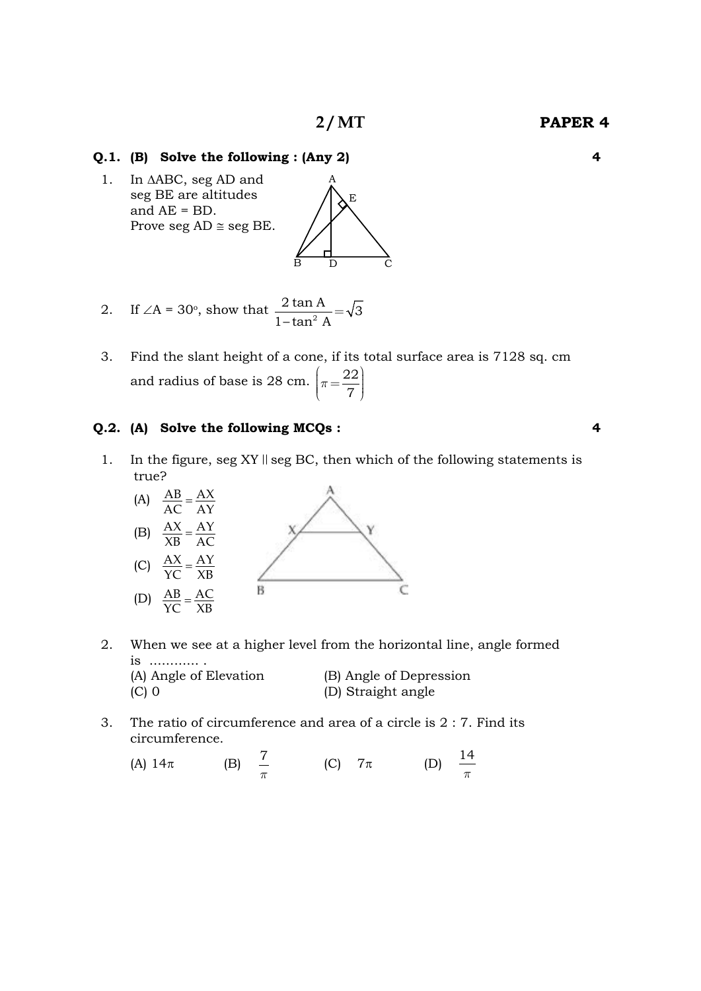E

#### **Q.1. (B) Solve the following : (Any 2) 4**

1. In  $\triangle ABC$ , seg AD and seg BE are altitudes and AE = BD. Prove seg  $AD \cong$  seg BE.

2. If 
$$
\angle A = 30^\circ
$$
, show that  $\frac{2 \tan A}{1 - \tan^2 A} = \sqrt{3}$ 

 3. Find the slant height of a cone, if its total surface area is 7128 sq. cm and radius of base is 28 cm.  $\pi$  $\left(\pi = \frac{22}{7}\right)$ 7

B D

C

#### **Q.2. (A) Solve the following MCQs : 4**

1. In the figure, seg XY  $\parallel$  seg BC, then which of the following statements is true?



- 2. When we see at a higher level from the horizontal line, angle formed is ............ . (A) Angle of Elevation (B) Angle of Depression (C) 0 (D) Straight angle
- 3. The ratio of circumference and area of a circle is  $2:7$ . Find its circumference.
	- (A)  $14\pi$  (B)  $\frac{7}{\pi}$  $(C)$  7 $\pi$ *p* 14

**2 / MT Paper 4**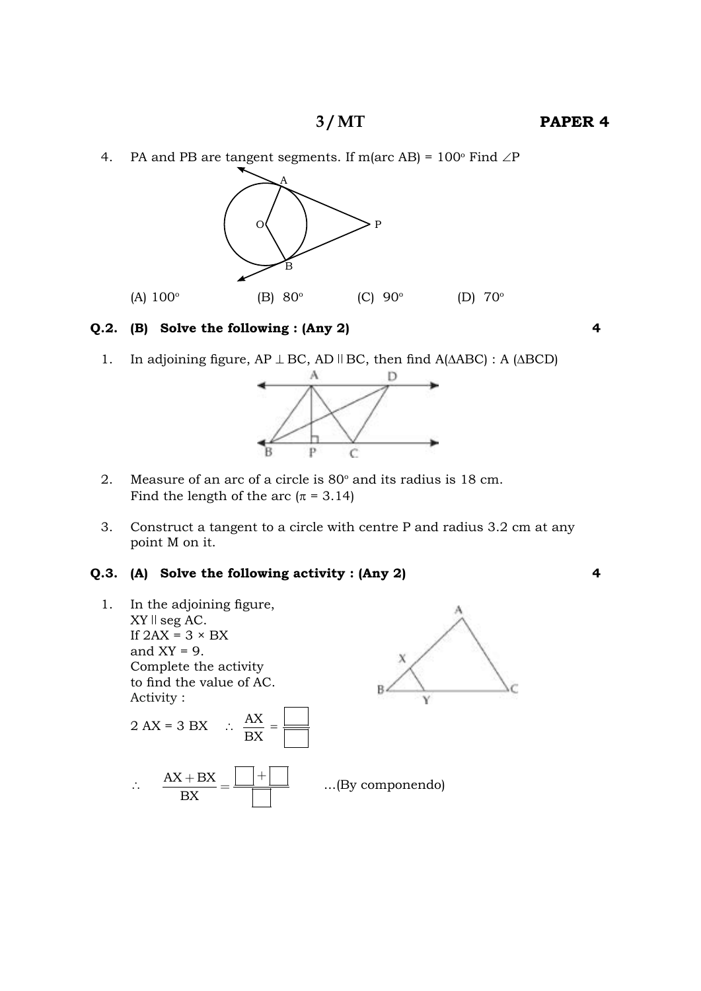4. PA and PB are tangent segments. If m(arc AB) =  $100^{\circ}$  Find  $\angle$ P



#### **Q.2. (B) Solve the following : (Any 2) 4**

1. In adjoining figure, AP ⊥ BC, AD || BC, then find A(ΔABC) : A (ΔBCD)



- 2. Measure of an arc of a circle is  $80^\circ$  and its radius is 18 cm. Find the length of the arc ( $\pi$  = 3.14)
- 3. Construct a tangent to a circle with centre P and radius 3.2 cm at any point M on it.

#### **Q.3. (A) Solve the following activity : (Any 2) 4**

 1. In the adjoining figure,  $XY \parallel \text{seg AC}.$ If  $2AX = 3 \times BX$ and  $XY = 9$ . Complete the activity to find the value of AC. Activity :

 2 AX = 3 BX ∴ AX BX<sup>=</sup> ∴ AX BX BX <sup>+</sup> <sup>+</sup> <sup>=</sup> ...(By componendo)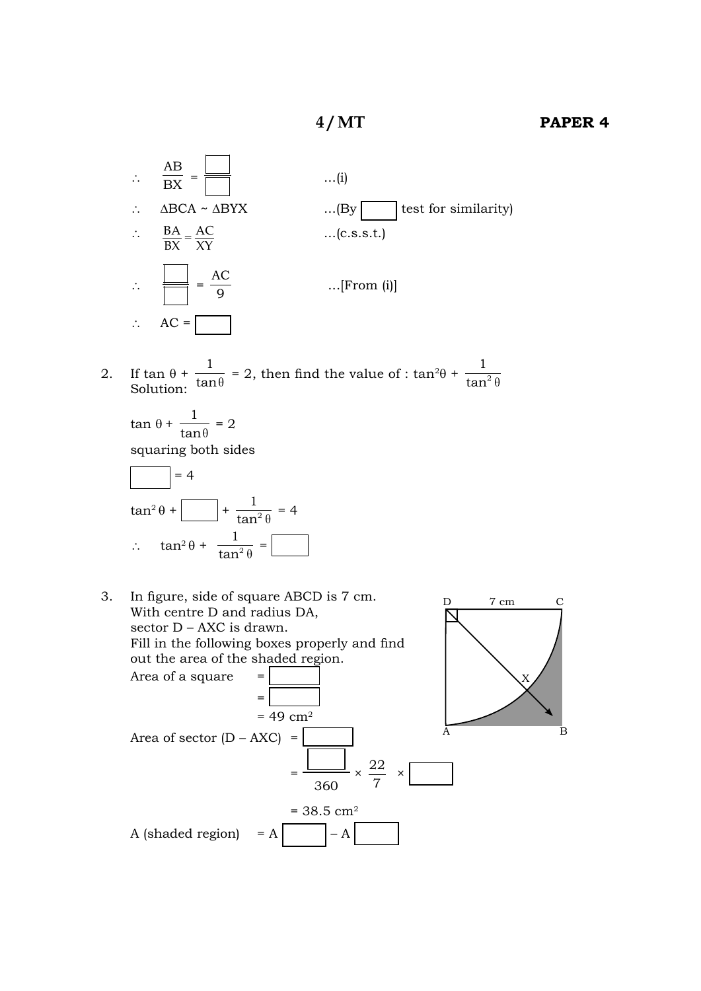

2. If  $\tan \theta + \frac{1}{\tan \theta} = 2$ , then find the value of :  $\tan^2\theta + \frac{1}{\tan^2\theta}$ Solution:  $\tan \theta$   $\Rightarrow$   $\tan \theta$   $\tan^2 \theta$ 

 $\tan \theta + \frac{1}{\ln \theta}$  $\frac{1}{\tan \theta} = 2$  squaring both sides



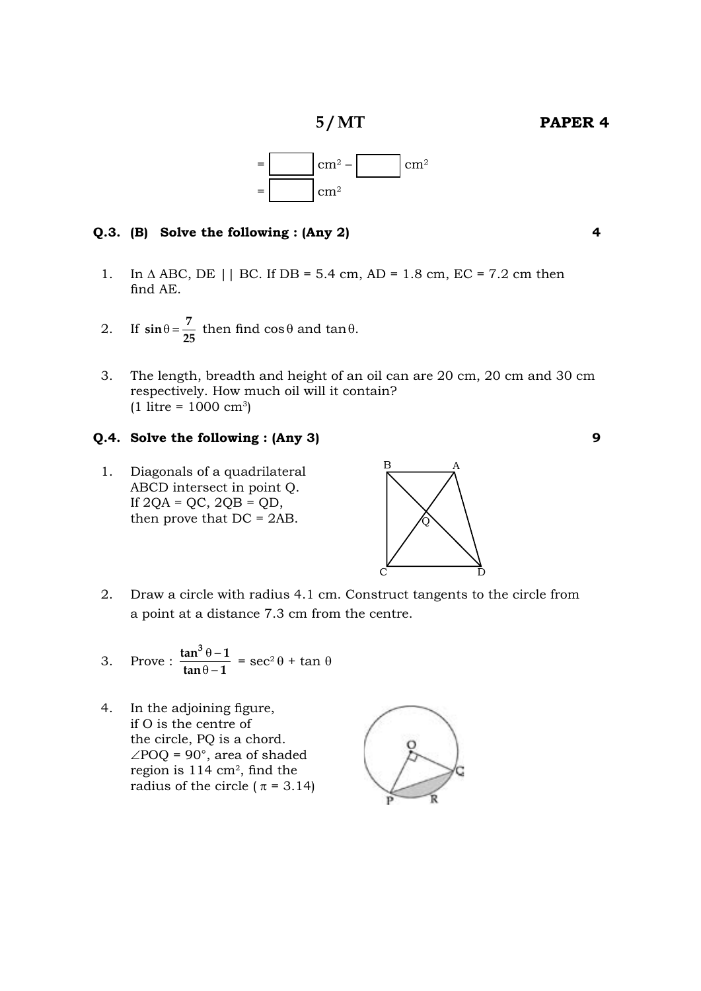**5 / MT Paper 4**



#### **Q.3. (B) Solve the following : (Any 2) 4**

- 1. In  $\triangle$  ABC, DE || BC. If DB = 5.4 cm, AD = 1.8 cm, EC = 7.2 cm then find AE.
- 2. If  $\sin \theta = \frac{7}{25}$  then find  $\cos \theta$  and  $\tan \theta$ .
- 3. The length, breadth and height of an oil can are 20 cm, 20 cm and 30 cm respectively. How much oil will it contain?  $(1 \text{ litre} = 1000 \text{ cm}^3)$

#### **Q.4. Solve the following : (Any 3) 9**

1. Diagonals of a quadrilateral ABCD intersect in point Q. If  $2QA = QC$ ,  $2QB = QD$ , then prove that DC = 2AB.



2. Draw a circle with radius 4.1 cm. Construct tangents to the circle from a point at a distance 7.3 cm from the centre.

3. Prove: 
$$
\frac{\tan^3 \theta - 1}{\tan \theta - 1} = \sec^2 \theta + \tan \theta
$$

 4. In the adjoining figure, if O is the centre of the circle, PQ is a chord.  $\angle$ POQ = 90°, area of shaded region is 114 cm2, find the radius of the circle ( $\pi$  = 3.14)